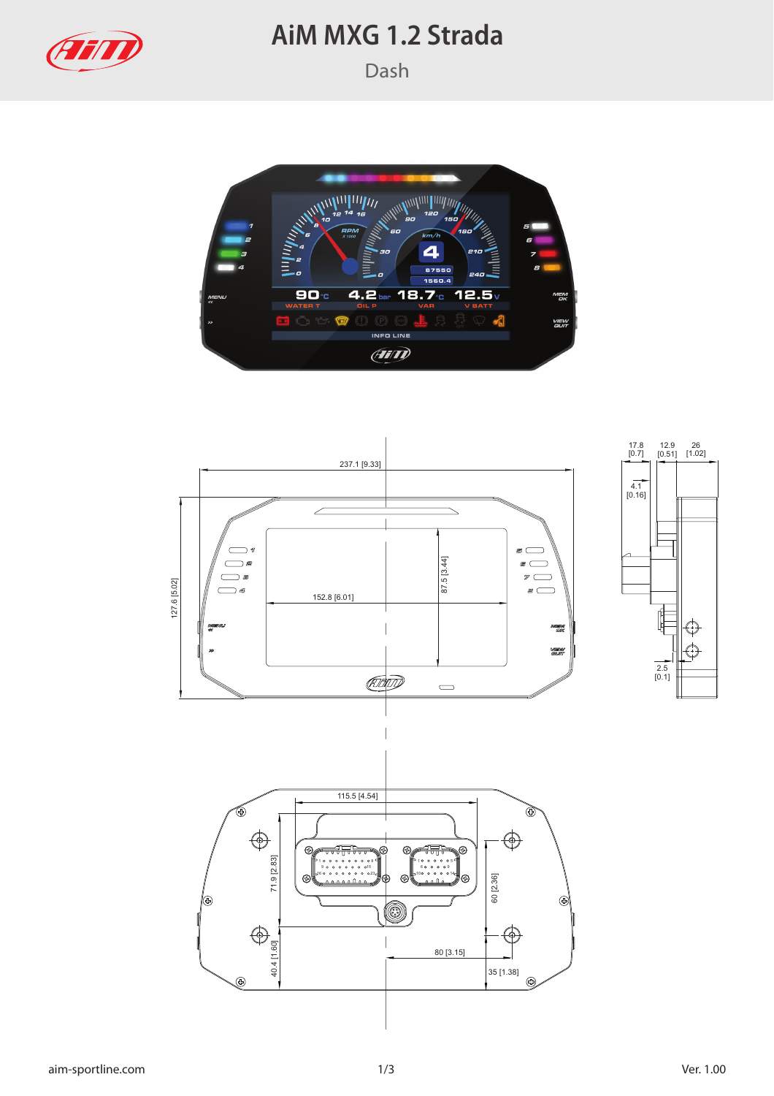

## **AiM MXG 1.2 Strada**



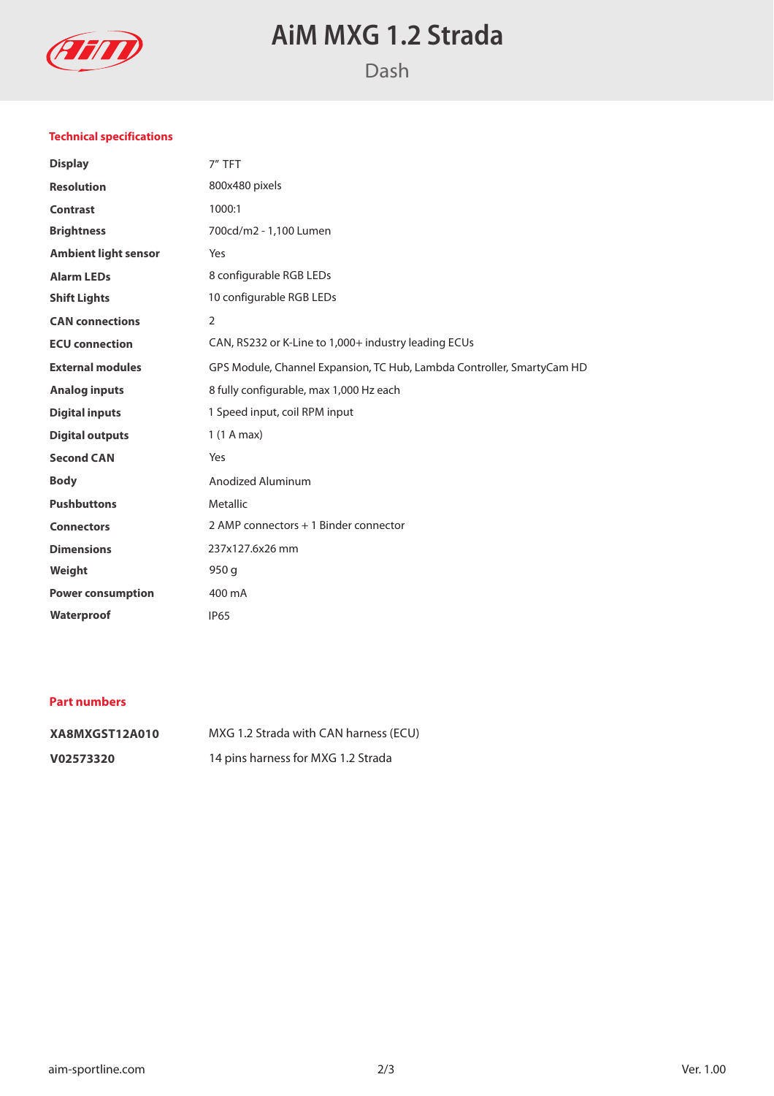

# **AiM MXG 1.2 Strada**

### **Technical specifications**

| <b>Display</b>              | 7" TFT                                                                 |
|-----------------------------|------------------------------------------------------------------------|
| <b>Resolution</b>           | 800x480 pixels                                                         |
| <b>Contrast</b>             | 1000:1                                                                 |
| <b>Brightness</b>           | 700cd/m2 - 1,100 Lumen                                                 |
| <b>Ambient light sensor</b> | Yes                                                                    |
| <b>Alarm LEDs</b>           | 8 configurable RGB LEDs                                                |
| <b>Shift Lights</b>         | 10 configurable RGB LEDs                                               |
| <b>CAN</b> connections      | 2                                                                      |
| <b>ECU</b> connection       | CAN, RS232 or K-Line to 1,000+ industry leading ECUs                   |
| <b>External modules</b>     | GPS Module, Channel Expansion, TC Hub, Lambda Controller, SmartyCam HD |
| <b>Analog inputs</b>        | 8 fully configurable, max 1,000 Hz each                                |
| <b>Digital inputs</b>       | 1 Speed input, coil RPM input                                          |
| <b>Digital outputs</b>      | 1(1 A max)                                                             |
| <b>Second CAN</b>           | Yes                                                                    |
| <b>Body</b>                 | <b>Anodized Aluminum</b>                                               |
| <b>Pushbuttons</b>          | Metallic                                                               |
| <b>Connectors</b>           | 2 AMP connectors + 1 Binder connector                                  |
| <b>Dimensions</b>           | 237x127.6x26 mm                                                        |
| Weight                      | 950q                                                                   |
| <b>Power consumption</b>    | 400 mA                                                                 |
| Waterproof                  | <b>IP65</b>                                                            |
|                             |                                                                        |

### **Part numbers**

| XA8MXGST12A010 | MXG 1.2 Strada with CAN harness (ECU) |
|----------------|---------------------------------------|
| V02573320      | 14 pins harness for MXG 1.2 Strada    |